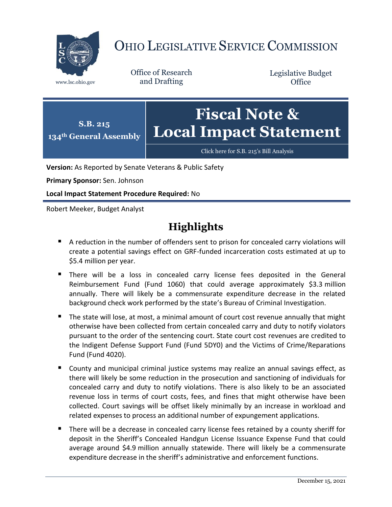

# OHIO LEGISLATIVE SERVICE COMMISSION

Office of Research www.lsc.ohio.gov and Drafting

Legislative Budget **Office** 



[Click here for S.B. 215](https://www.legislature.ohio.gov/legislation/legislation-documents?id=GA134-SB-215)'s Bill Analysis

**Version:** As Reported by Senate Veterans & Public Safety

**Primary Sponsor:** Sen. Johnson

**Local Impact Statement Procedure Required:** No

Robert Meeker, Budget Analyst

# **Highlights**

- A reduction in the number of offenders sent to prison for concealed carry violations will create a potential savings effect on GRF-funded incarceration costs estimated at up to \$5.4 million per year.
- **There will be a loss in concealed carry license fees deposited in the General** Reimbursement Fund (Fund 1060) that could average approximately \$3.3 million annually. There will likely be a commensurate expenditure decrease in the related background check work performed by the state's Bureau of Criminal Investigation.
- The state will lose, at most, a minimal amount of court cost revenue annually that might otherwise have been collected from certain concealed carry and duty to notify violators pursuant to the order of the sentencing court. State court cost revenues are credited to the Indigent Defense Support Fund (Fund 5DY0) and the Victims of Crime/Reparations Fund (Fund 4020).
- **County and municipal criminal justice systems may realize an annual savings effect, as** there will likely be some reduction in the prosecution and sanctioning of individuals for concealed carry and duty to notify violations. There is also likely to be an associated revenue loss in terms of court costs, fees, and fines that might otherwise have been collected. Court savings will be offset likely minimally by an increase in workload and related expenses to process an additional number of expungement applications.
- There will be a decrease in concealed carry license fees retained by a county sheriff for deposit in the Sheriff's Concealed Handgun License Issuance Expense Fund that could average around \$4.9 million annually statewide. There will likely be a commensurate expenditure decrease in the sheriff's administrative and enforcement functions.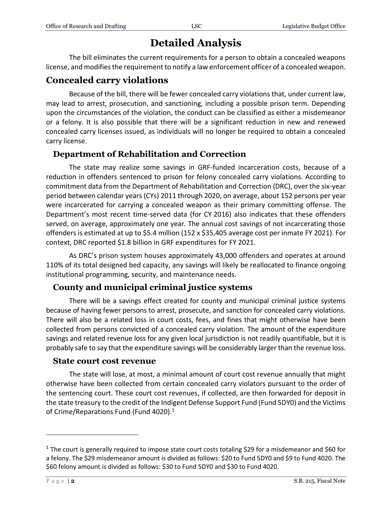# **Detailed Analysis**

The bill eliminates the current requirements for a person to obtain a concealed weapons license, and modifies the requirement to notify a law enforcement officer of a concealed weapon.

### **Concealed carry violations**

Because of the bill, there will be fewer concealed carry violations that, under current law, may lead to arrest, prosecution, and sanctioning, including a possible prison term. Depending upon the circumstances of the violation, the conduct can be classified as either a misdemeanor or a felony. It is also possible that there will be a significant reduction in new and renewed concealed carry licenses issued, as individuals will no longer be required to obtain a concealed carry license.

#### **Department of Rehabilitation and Correction**

The state may realize some savings in GRF-funded incarceration costs, because of a reduction in offenders sentenced to prison for felony concealed carry violations. According to commitment data from the Department of Rehabilitation and Correction (DRC), over the six-year period between calendar years (CYs) 2011 through 2020, on average, about 152 persons per year were incarcerated for carrying a concealed weapon as their primary committing offense. The Department's most recent time-served data (for CY 2016) also indicates that these offenders served, on average, approximately one year. The annual cost savings of not incarcerating those offenders is estimated at up to \$5.4 million (152 x \$35,405 average cost per inmate FY 2021). For context, DRC reported \$1.8 billion in GRF expenditures for FY 2021.

As DRC's prison system houses approximately 43,000 offenders and operates at around 110% of its total designed bed capacity, any savings will likely be reallocated to finance ongoing institutional programming, security, and maintenance needs.

#### **County and municipal criminal justice systems**

There will be a savings effect created for county and municipal criminal justice systems because of having fewer persons to arrest, prosecute, and sanction for concealed carry violations. There will also be a related loss in court costs, fees, and fines that might otherwise have been collected from persons convicted of a concealed carry violation. The amount of the expenditure savings and related revenue loss for any given local jurisdiction is not readily quantifiable, but it is probably safe to say that the expenditure savings will be considerably larger than the revenue loss.

#### **State court cost revenue**

The state will lose, at most, a minimal amount of court cost revenue annually that might otherwise have been collected from certain concealed carry violators pursuant to the order of the sentencing court. These court cost revenues, if collected, are then forwarded for deposit in the state treasury to the credit of the Indigent Defense Support Fund (Fund 5DY0) and the Victims of Crime/Reparations Fund (Fund 4020).<sup>1</sup>

 $\overline{a}$ 

<sup>&</sup>lt;sup>1</sup> The court is generally required to impose state court costs totaling \$29 for a misdemeanor and \$60 for a felony. The \$29 misdemeanor amount is divided as follows: \$20 to Fund 5DY0 and \$9 to Fund 4020. The \$60 felony amount is divided as follows: \$30 to Fund 5DY0 and \$30 to Fund 4020.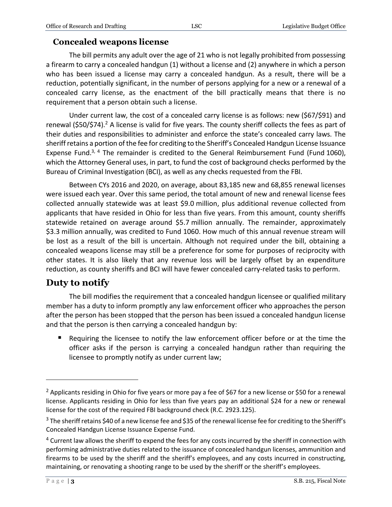### **Concealed weapons license**

The bill permits any adult over the age of 21 who is not legally prohibited from possessing a firearm to carry a concealed handgun (1) without a license and (2) anywhere in which a person who has been issued a license may carry a concealed handgun. As a result, there will be a reduction, potentially significant, in the number of persons applying for a new or a renewal of a concealed carry license, as the enactment of the bill practically means that there is no requirement that a person obtain such a license.

Under current law, the cost of a concealed carry license is as follows: new (\$67/\$91) and renewal (\$50/\$74).<sup>2</sup> A license is valid for five years. The county sheriff collects the fees as part of their duties and responsibilities to administer and enforce the state's concealed carry laws. The sheriff retains a portion of the fee for crediting to the Sheriff's Concealed Handgun License Issuance Expense Fund.<sup>3, 4</sup> The remainder is credited to the General Reimbursement Fund (Fund 1060), which the Attorney General uses, in part, to fund the cost of background checks performed by the Bureau of Criminal Investigation (BCI), as well as any checks requested from the FBI.

Between CYs 2016 and 2020, on average, about 83,185 new and 68,855 renewal licenses were issued each year. Over this same period, the total amount of new and renewal license fees collected annually statewide was at least \$9.0 million, plus additional revenue collected from applicants that have resided in Ohio for less than five years. From this amount, county sheriffs statewide retained on average around \$5.7 million annually. The remainder, approximately \$3.3 million annually, was credited to Fund 1060. How much of this annual revenue stream will be lost as a result of the bill is uncertain. Although not required under the bill, obtaining a concealed weapons license may still be a preference for some for purposes of reciprocity with other states. It is also likely that any revenue loss will be largely offset by an expenditure reduction, as county sheriffs and BCI will have fewer concealed carry-related tasks to perform.

## **Duty to notify**

The bill modifies the requirement that a concealed handgun licensee or qualified military member has a duty to inform promptly any law enforcement officer who approaches the person after the person has been stopped that the person has been issued a concealed handgun license and that the person is then carrying a concealed handgun by:

■ Requiring the licensee to notify the law enforcement officer before or at the time the officer asks if the person is carrying a concealed handgun rather than requiring the licensee to promptly notify as under current law;

 $\overline{a}$ 

<sup>&</sup>lt;sup>2</sup> Applicants residing in Ohio for five years or more pay a fee of \$67 for a new license or \$50 for a renewal license. Applicants residing in Ohio for less than five years pay an additional \$24 for a new or renewal license for the cost of the required FBI background check (R.C. 2923.125).

 $3$  The sheriff retains \$40 of a new license fee and \$35 of the renewal license fee for crediting to the Sheriff's Concealed Handgun License Issuance Expense Fund.

<sup>&</sup>lt;sup>4</sup> Current law allows the sheriff to expend the fees for any costs incurred by the sheriff in connection with performing administrative duties related to the issuance of concealed handgun licenses, ammunition and firearms to be used by the sheriff and the sheriff's employees, and any costs incurred in constructing, maintaining, or renovating a shooting range to be used by the sheriff or the sheriff's employees.